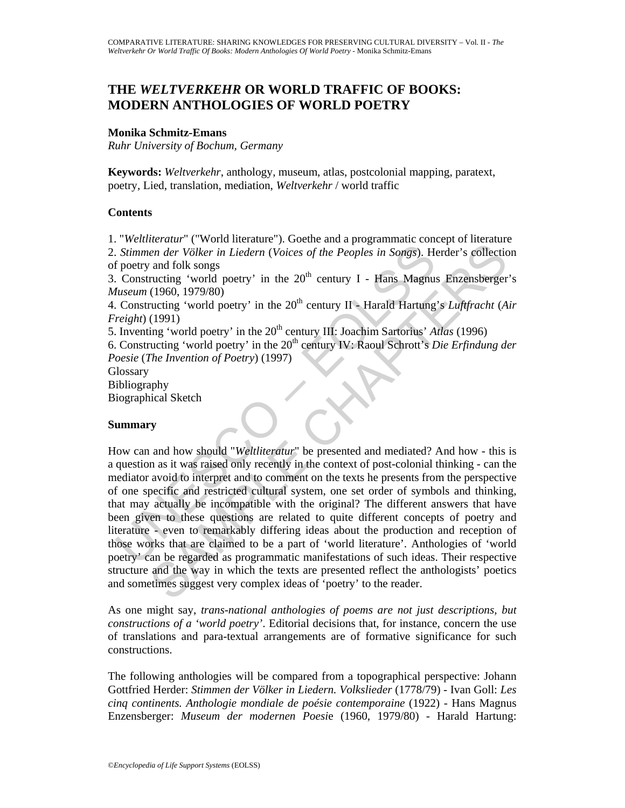# **THE** *WELTVERKEHR* **OR WORLD TRAFFIC OF BOOKS: MODERN ANTHOLOGIES OF WORLD POETRY**

### **Monika Schmitz-Emans**

*Ruhr University of Bochum, Germany* 

**Keywords:** *Weltverkehr*, anthology, museum, atlas, postcolonial mapping, paratext, poetry, Lied, translation, mediation, *Weltverkehr* / world traffic

### **Contents**

1. "*Weltliteratur*" ("World literature"). Goethe and a programmatic concept of literature 2. *Stimmen der Völker in Liedern* (*Voices of the Peoples in Songs*). Herder's collection

of poetry and folk songs

3. Constructing 'world poetry' in the  $20<sup>th</sup>$  century I - Hans Magnus Enzensberger's *Museum* (1960, 1979/80)

4. Constructing 'world poetry' in the 20<sup>th</sup> century II - Harald Hartung's *Luftfracht* (*Air Freight*) (1991)

5. Inventing 'world poetry' in the 20<sup>th</sup> century III: Joachim Sartorius' *Atlas* (1996)

6. Constructing 'world poetry' in the 20th century IV: Raoul Schrott's *Die Erfindung der Poesie* (*The Invention of Poetry*) (1997)

**Glossary** 

Bibliography

Biographical Sketch

### **Summary**

Stimmen der Völker in Liedern (Voices of the Peoples in Songs). He<br>
Stimmen der Völker in Liedern (Voices of the Peoples in Songs). He<br>
floetry and folk songs<br>
Constructing 'world poetry' in the 20<sup>th</sup> century II - Hans M From Worker in Liedern (Voices of the Peoples in Songs). Herder's collumination<br>and folk songs<br>and folk songs<br>(1960, 1979/80)<br>(1990, 1979/80)<br>(1990, 1979/80)<br>(1990, 1979/80)<br>(1990, 1979/80)<br>(1990, 1979/80)<br>(1990, 1979/80) How can and how should "*Weltliteratur*" be presented and mediated? And how - this is a question as it was raised only recently in the context of post-colonial thinking - can the mediator avoid to interpret and to comment on the texts he presents from the perspective of one specific and restricted cultural system, one set order of symbols and thinking, that may actually be incompatible with the original? The different answers that have been given to these questions are related to quite different concepts of poetry and literature - even to remarkably differing ideas about the production and reception of those works that are claimed to be a part of 'world literature'. Anthologies of 'world poetry' can be regarded as programmatic manifestations of such ideas. Their respective structure and the way in which the texts are presented reflect the anthologists' poetics and sometimes suggest very complex ideas of 'poetry' to the reader.

As one might say, *trans-national anthologies of poems are not just descriptions, but constructions of a 'world poetry'*. Editorial decisions that, for instance, concern the use of translations and para-textual arrangements are of formative significance for such constructions.

The following anthologies will be compared from a topographical perspective: Johann Gottfried Herder: *Stimmen der Völker in Liedern. Volkslieder* (1778/79) - Ivan Goll: *Les cinq continents. Anthologie mondiale de poésie contemporaine* (1922) - Hans Magnus Enzensberger: *Museum der modernen Poesi*e (1960, 1979/80) - Harald Hartung: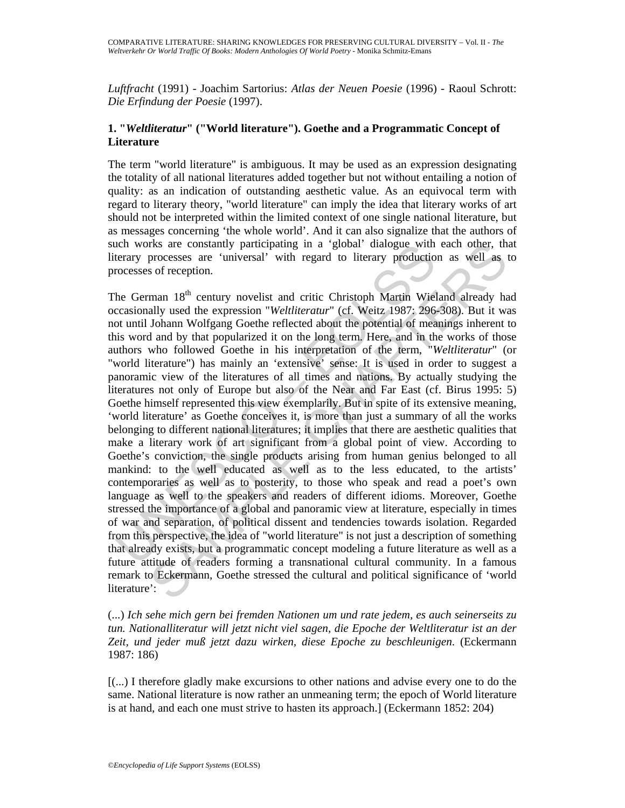*Luftfracht* (1991) - Joachim Sartorius: *Atlas der Neuen Poesie* (1996) - Raoul Schrott: *Die Erfindung der Poesie* (1997).

### **1. "***Weltliteratur***" ("World literature"). Goethe and a Programmatic Concept of Literature**

The term "world literature" is ambiguous. It may be used as an expression designating the totality of all national literatures added together but not without entailing a notion of quality: as an indication of outstanding aesthetic value. As an equivocal term with regard to literary theory, "world literature" can imply the idea that literary works of art should not be interpreted within the limited context of one single national literature, but as messages concerning 'the whole world'. And it can also signalize that the authors of such works are constantly participating in a 'global' dialogue with each other, that literary processes are 'universal' with regard to literary production as well as to processes of reception.

ich works are constantly participating in a 'global' dialogue with<br>terary processes are 'universal' with regard to literary productio<br>coesses of reception.<br>the German 18<sup>th</sup> century novelist and critic Christoph Martin Wi rks are constantly participating in a 'global' dialogue with each other, the constant 'universal' with regard to literary production as well as the correction.<br>
man 18<sup>th</sup> century novelist and critic Christoph Martin Wiel The German 18<sup>th</sup> century novelist and critic Christoph Martin Wieland already had occasionally used the expression "*Weltliteratur*" (cf. Weitz 1987: 296-308). But it was not until Johann Wolfgang Goethe reflected about the potential of meanings inherent to this word and by that popularized it on the long term. Here, and in the works of those authors who followed Goethe in his interpretation of the term, "*Weltliteratur*" (or "world literature") has mainly an 'extensive' sense: It is used in order to suggest a panoramic view of the literatures of all times and nations. By actually studying the literatures not only of Europe but also of the Near and Far East (cf. Birus 1995: 5) Goethe himself represented this view exemplarily. But in spite of its extensive meaning, 'world literature' as Goethe conceives it, is more than just a summary of all the works belonging to different national literatures; it implies that there are aesthetic qualities that make a literary work of art significant from a global point of view. According to Goethe's conviction, the single products arising from human genius belonged to all mankind: to the well educated as well as to the less educated, to the artists' contemporaries as well as to posterity, to those who speak and read a poet's own language as well to the speakers and readers of different idioms. Moreover, Goethe stressed the importance of a global and panoramic view at literature, especially in times of war and separation, of political dissent and tendencies towards isolation. Regarded from this perspective, the idea of "world literature" is not just a description of something that already exists, but a programmatic concept modeling a future literature as well as a future attitude of readers forming a transnational cultural community. In a famous remark to Eckermann, Goethe stressed the cultural and political significance of 'world literature':

(...) *Ich sehe mich gern bei fremden Nationen um und rate jedem, es auch seinerseits zu tun. Nationalliteratur will jetzt nicht viel sagen, die Epoche der Weltliteratur ist an der Zeit, und jeder muß jetzt dazu wirken, diese Epoche zu beschleunigen*. (Eckermann 1987: 186)

[(...) I therefore gladly make excursions to other nations and advise every one to do the same. National literature is now rather an unmeaning term; the epoch of World literature is at hand, and each one must strive to hasten its approach.] (Eckermann 1852: 204)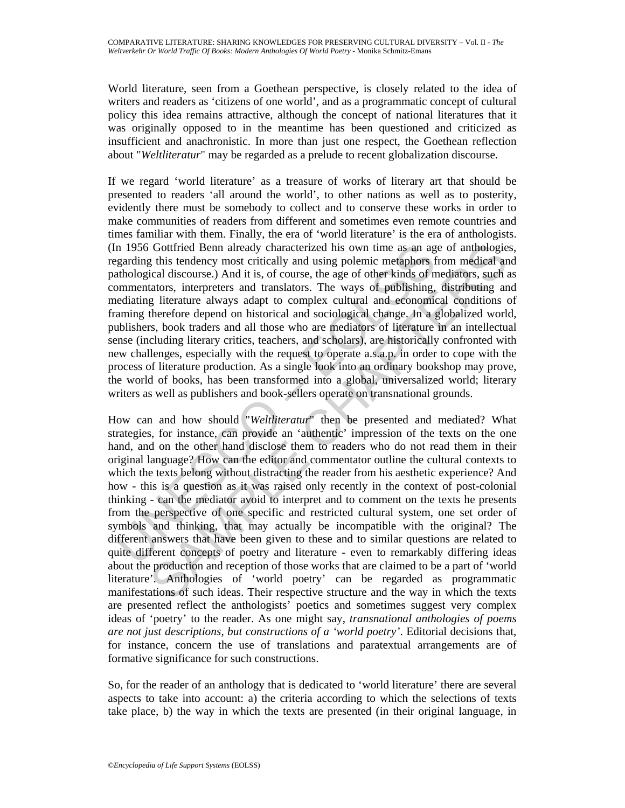World literature, seen from a Goethean perspective, is closely related to the idea of writers and readers as 'citizens of one world', and as a programmatic concept of cultural policy this idea remains attractive, although the concept of national literatures that it was originally opposed to in the meantime has been questioned and criticized as insufficient and anachronistic. In more than just one respect, the Goethean reflection about "*Weltliteratur*" may be regarded as a prelude to recent globalization discourse.

n 1956 Gottfried Benn already characterized his own time as an ag<br>garding this tendency most critically and using polemic metaphors f<br>athological discourse.) And it is, of course, the age of other kinds of<br>momentators, int If we regard 'world literature' as a treasure of works of literary art that should be presented to readers 'all around the world', to other nations as well as to posterity, evidently there must be somebody to collect and to conserve these works in order to make communities of readers from different and sometimes even remote countries and times familiar with them. Finally, the era of 'world literature' is the era of anthologists. (In 1956 Gottfried Benn already characterized his own time as an age of anthologies, regarding this tendency most critically and using polemic metaphors from medical and pathological discourse.) And it is, of course, the age of other kinds of mediators, such as commentators, interpreters and translators. The ways of publishing, distributing and mediating literature always adapt to complex cultural and economical conditions of framing therefore depend on historical and sociological change. In a globalized world, publishers, book traders and all those who are mediators of literature in an intellectual sense (including literary critics, teachers, and scholars), are historically confronted with new challenges, especially with the request to operate a.s.a.p. in order to cope with the process of literature production. As a single look into an ordinary bookshop may prove, the world of books, has been transformed into a global, universalized world; literary writers as well as publishers and book-sellers operate on transnational grounds.

Gottfried Benn already characterized his own time as an age of anthologies<br>
git bis checknocy most critically and using polemic metaphors from medical among<br>
git is clearcor, the state age of other kinds of medical and<br>
ta How can and how should "*Weltliteratur*" then be presented and mediated? What strategies, for instance, can provide an 'authentic' impression of the texts on the one hand, and on the other hand disclose them to readers who do not read them in their original language? How can the editor and commentator outline the cultural contexts to which the texts belong without distracting the reader from his aesthetic experience? And how - this is a question as it was raised only recently in the context of post-colonial thinking - can the mediator avoid to interpret and to comment on the texts he presents from the perspective of one specific and restricted cultural system, one set order of symbols and thinking, that may actually be incompatible with the original? The different answers that have been given to these and to similar questions are related to quite different concepts of poetry and literature - even to remarkably differing ideas about the production and reception of those works that are claimed to be a part of 'world literature'. Anthologies of 'world poetry' can be regarded as programmatic manifestations of such ideas. Their respective structure and the way in which the texts are presented reflect the anthologists' poetics and sometimes suggest very complex ideas of 'poetry' to the reader. As one might say, *transnational anthologies of poems are not just descriptions, but constructions of a 'world poetry'*. Editorial decisions that, for instance, concern the use of translations and paratextual arrangements are of formative significance for such constructions.

So, for the reader of an anthology that is dedicated to 'world literature' there are several aspects to take into account: a) the criteria according to which the selections of texts take place, b) the way in which the texts are presented (in their original language, in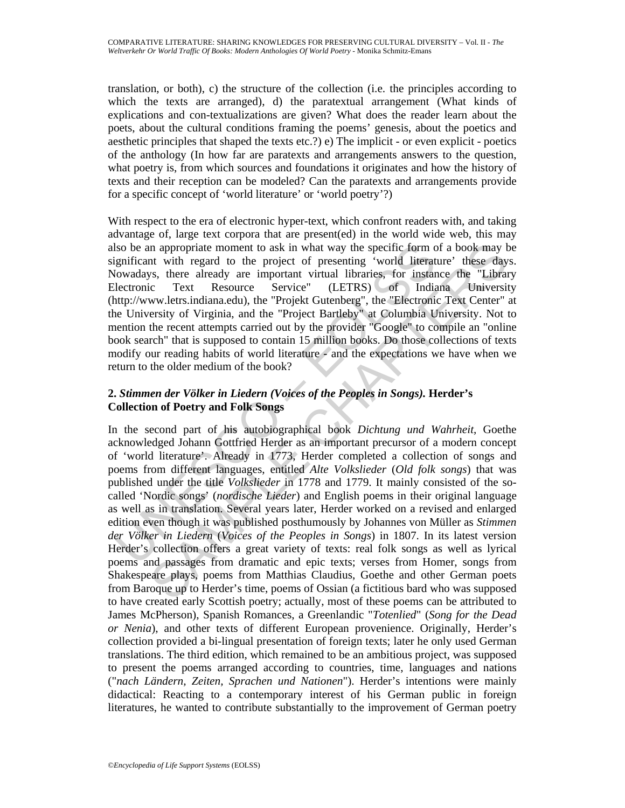translation, or both), c) the structure of the collection (i.e. the principles according to which the texts are arranged), d) the paratextual arrangement (What kinds of explications and con-textualizations are given? What does the reader learn about the poets, about the cultural conditions framing the poems' genesis, about the poetics and aesthetic principles that shaped the texts etc.?) e) The implicit - or even explicit - poetics of the anthology (In how far are paratexts and arrangements answers to the question, what poetry is, from which sources and foundations it originates and how the history of texts and their reception can be modeled? Can the paratexts and arrangements provide for a specific concept of 'world literature' or 'world poetry'?)

With respect to the era of electronic hyper-text, which confront readers with, and taking advantage of, large text corpora that are present(ed) in the world wide web, this may also be an appropriate moment to ask in what way the specific form of a book may be significant with regard to the project of presenting 'world literature' these days. Nowadays, there already are important virtual libraries, for instance the "Library Electronic Text Resource Service" (LETRS) of Indiana University (http://www.letrs.indiana.edu), the "Projekt Gutenberg", the "Electronic Text Center" at the University of Virginia, and the "Project Bartleby" at Columbia University. Not to mention the recent attempts carried out by the provider "Google" to compile an "online book search" that is supposed to contain 15 million books. Do those collections of texts modify our reading habits of world literature - and the expectations we have when we return to the older medium of the book?

## **2.** *Stimmen der Völker in Liedern (Voices of the Peoples in Songs).* **Herder's Collection of Poetry and Folk Songs**

Iso be an appropriate moment to ask in what way the specific form continuing incoments with regard of the project of presenting 'world literat investing. The already are inventant virtual libraries, for instant literation in appropriate moment to ask in what way the specific form of a book may be syets. Thus regard to the project of presenting "world literature" these day, there already are important virtual libraries, for instance the "Li In the second part of his autobiographical book *Dichtung und Wahrheit*, Goethe acknowledged Johann Gottfried Herder as an important precursor of a modern concept of 'world literature'. Already in 1773, Herder completed a collection of songs and poems from different languages, entitled *Alte Volkslieder* (*Old folk songs*) that was published under the title *Volkslieder* in 1778 and 1779. It mainly consisted of the socalled 'Nordic songs' (*nordische Lieder*) and English poems in their original language as well as in translation. Several years later, Herder worked on a revised and enlarged edition even though it was published posthumously by Johannes von Müller as *Stimmen der Völker in Liedern* (*Voices of the Peoples in Songs*) in 1807. In its latest version Herder's collection offers a great variety of texts: real folk songs as well as lyrical poems and passages from dramatic and epic texts; verses from Homer, songs from Shakespeare plays, poems from Matthias Claudius, Goethe and other German poets from Baroque up to Herder's time, poems of Ossian (a fictitious bard who was supposed to have created early Scottish poetry; actually, most of these poems can be attributed to James McPherson), Spanish Romances, a Greenlandic "*Totenlied*" (*Song for the Dead or Nenia*), and other texts of different European provenience. Originally, Herder's collection provided a bi-lingual presentation of foreign texts; later he only used German translations. The third edition, which remained to be an ambitious project, was supposed to present the poems arranged according to countries, time, languages and nations ("*nach Ländern, Zeiten, Sprachen und Nationen*"). Herder's intentions were mainly didactical: Reacting to a contemporary interest of his German public in foreign literatures, he wanted to contribute substantially to the improvement of German poetry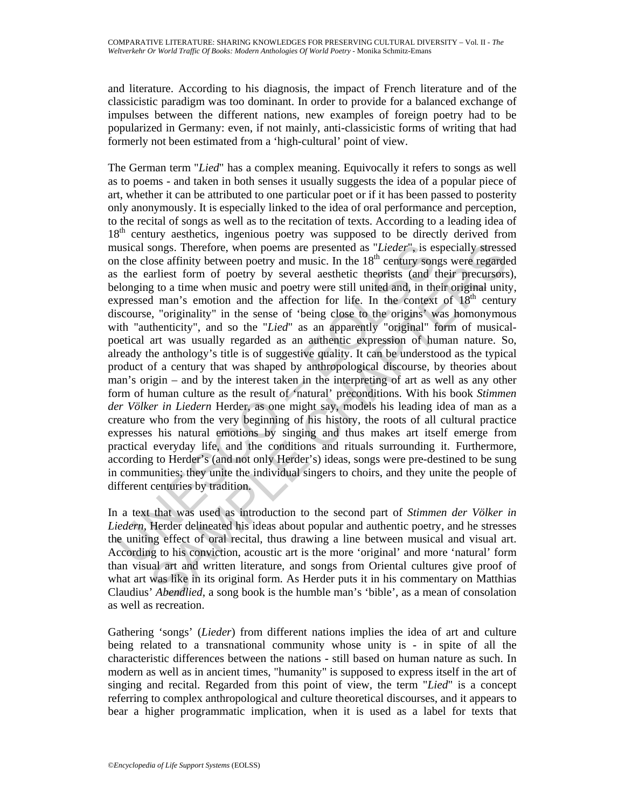and literature. According to his diagnosis, the impact of French literature and of the classicistic paradigm was too dominant. In order to provide for a balanced exchange of impulses between the different nations, new examples of foreign poetry had to be popularized in Germany: even, if not mainly, anti-classicistic forms of writing that had formerly not been estimated from a 'high-cultural' point of view.

usical songs. Therefore, when poems are presented as "Lieder", is es<br>the close affinity between poetry and music. In the 18<sup>th</sup> century son<br>the carliest form of poetry by several asthetic theorists (and<br>the densine follogi songs. Therefore, when poems are presented as "Lieder", is especially stresses<br>ose affinity between portry and masic. In the 18<sup>th</sup> enethry songs were regarder<br>arliest form of poetry by several aesthetic theorits (and the The German term "*Lied*" has a complex meaning. Equivocally it refers to songs as well as to poems - and taken in both senses it usually suggests the idea of a popular piece of art, whether it can be attributed to one particular poet or if it has been passed to posterity only anonymously. It is especially linked to the idea of oral performance and perception, to the recital of songs as well as to the recitation of texts. According to a leading idea of 18<sup>th</sup> century aesthetics, ingenious poetry was supposed to be directly derived from musical songs. Therefore, when poems are presented as "*Lieder*", is especially stressed on the close affinity between poetry and music. In the  $18<sup>th</sup>$  century songs were regarded as the earliest form of poetry by several aesthetic theorists (and their precursors), belonging to a time when music and poetry were still united and, in their original unity, expressed man's emotion and the affection for life. In the context of  $18<sup>th</sup>$  century discourse, "originality" in the sense of 'being close to the origins' was homonymous with "authenticity", and so the "*Lied*" as an apparently "original" form of musicalpoetical art was usually regarded as an authentic expression of human nature. So, already the anthology's title is of suggestive quality. It can be understood as the typical product of a century that was shaped by anthropological discourse, by theories about man's origin – and by the interest taken in the interpreting of art as well as any other form of human culture as the result of 'natural' preconditions. With his book *Stimmen der Völker in Liedern* Herder, as one might say, models his leading idea of man as a creature who from the very beginning of his history, the roots of all cultural practice expresses his natural emotions by singing and thus makes art itself emerge from practical everyday life, and the conditions and rituals surrounding it. Furthermore, according to Herder's (and not only Herder's) ideas, songs were pre-destined to be sung in communities; they unite the individual singers to choirs, and they unite the people of different centuries by tradition.

In a text that was used as introduction to the second part of *Stimmen der Völker in Liedern*, Herder delineated his ideas about popular and authentic poetry, and he stresses the uniting effect of oral recital, thus drawing a line between musical and visual art. According to his conviction, acoustic art is the more 'original' and more 'natural' form than visual art and written literature, and songs from Oriental cultures give proof of what art was like in its original form. As Herder puts it in his commentary on Matthias Claudius' *Abendlied*, a song book is the humble man's 'bible', as a mean of consolation as well as recreation.

Gathering 'songs' (*Lieder*) from different nations implies the idea of art and culture being related to a transnational community whose unity is - in spite of all the characteristic differences between the nations - still based on human nature as such. In modern as well as in ancient times, "humanity" is supposed to express itself in the art of singing and recital. Regarded from this point of view, the term "*Lied*" is a concept referring to complex anthropological and culture theoretical discourses, and it appears to bear a higher programmatic implication, when it is used as a label for texts that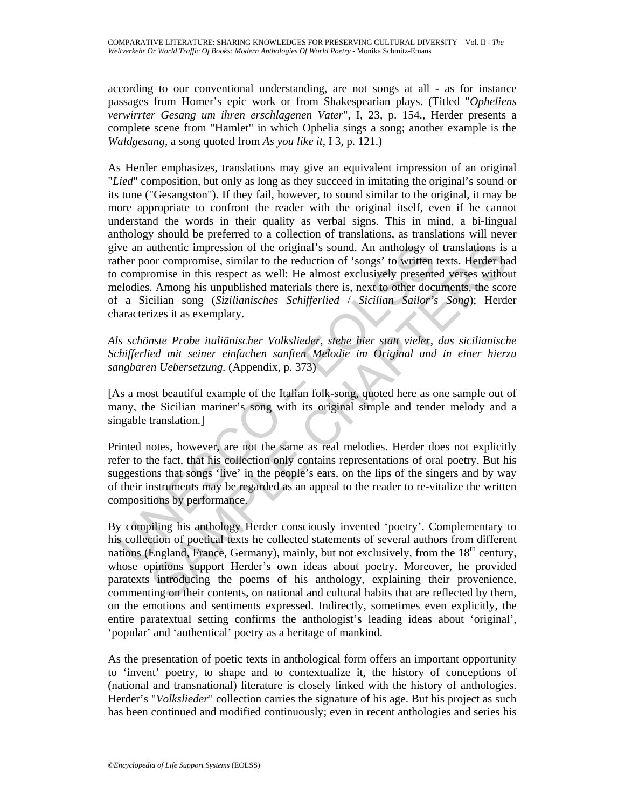according to our conventional understanding, are not songs at all - as for instance passages from Homer's epic work or from Shakespearian plays. (Titled "*Opheliens verwirrter Gesang um ihren erschlagenen Vater*", I, 23, p. 154., Herder presents a complete scene from "Hamlet" in which Ophelia sings a song; another example is the *Waldgesang*, a song quoted from *As you like it*, I 3, p. 121.)

ive an authentic impression of the original's sound. An anthology of<br>ther poor compromise, similar to the reduction of 'songs' to written<br>incomismic in this respect as well: He almost exclusively present<br>to compromise in t As Herder emphasizes, translations may give an equivalent impression of an original "*Lied*" composition, but only as long as they succeed in imitating the original's sound or its tune ("Gesangston"). If they fail, however, to sound similar to the original, it may be more appropriate to confront the reader with the original itself, even if he cannot understand the words in their quality as verbal signs. This in mind, a bi-lingual anthology should be preferred to a collection of translations, as translations will never give an authentic impression of the original's sound. An anthology of translations is a rather poor compromise, similar to the reduction of 'songs' to written texts. Herder had to compromise in this respect as well: He almost exclusively presented verses without melodies. Among his unpublished materials there is, next to other documents, the score of a Sicilian song (*Sizilianisches Schifferlied* / *Sicilian Sailor's Song*); Herder characterizes it as exemplary.

*Als schönste Probe italiänischer Volkslieder, stehe hier statt vieler, das sicilianische Schifferlied mit seiner einfachen sanften Melodie im Original und in einer hierzu sangbaren Uebersetzung.* (Appendix, p. 373)

[As a most beautiful example of the Italian folk-song, quoted here as one sample out of many, the Sicilian mariner's song with its original simple and tender melody and a singable translation.]

Printed notes, however, are not the same as real melodies. Herder does not explicitly refer to the fact, that his collection only contains representations of oral poetry. But his suggestions that songs 'live' in the people's ears, on the lips of the singers and by way of their instruments may be regarded as an appeal to the reader to re-vitalize the written compositions by performance.

unthentic impression of the original's sound. An anthology of translations is<br>or coronpomise, similar to the reduction of 'songs' to written texts. Herder has<br>oromise in this respect as well! He almost exclusively presente By compiling his anthology Herder consciously invented 'poetry'. Complementary to his collection of poetical texts he collected statements of several authors from different nations (England, France, Germany), mainly, but not exclusively, from the  $18<sup>th</sup>$  century, whose opinions support Herder's own ideas about poetry. Moreover, he provided paratexts introducing the poems of his anthology, explaining their provenience, commenting on their contents, on national and cultural habits that are reflected by them, on the emotions and sentiments expressed. Indirectly, sometimes even explicitly, the entire paratextual setting confirms the anthologist's leading ideas about 'original', 'popular' and 'authentical' poetry as a heritage of mankind.

As the presentation of poetic texts in anthological form offers an important opportunity to 'invent' poetry, to shape and to contextualize it, the history of conceptions of (national and transnational) literature is closely linked with the history of anthologies. Herder's "*Volkslieder*" collection carries the signature of his age. But his project as such has been continued and modified continuously; even in recent anthologies and series his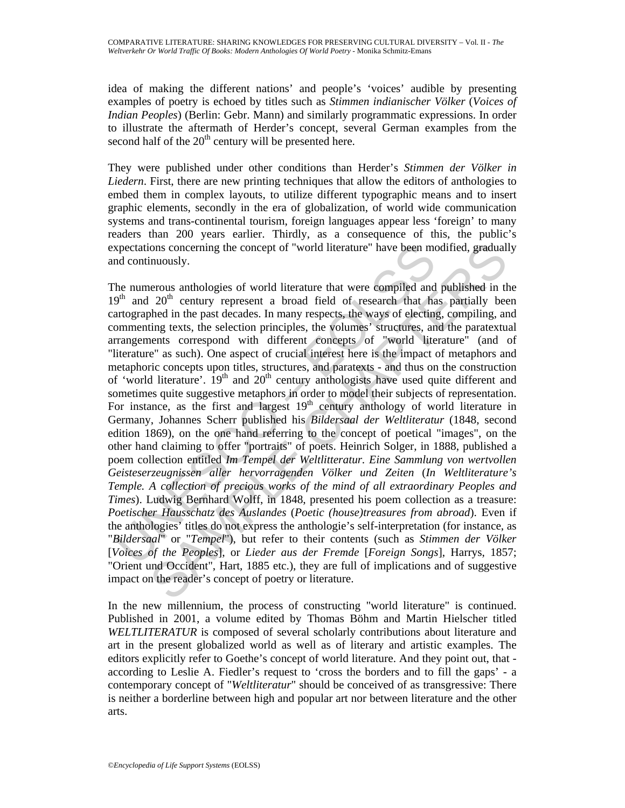idea of making the different nations' and people's 'voices' audible by presenting examples of poetry is echoed by titles such as *Stimmen indianischer Völker* (*Voices of Indian Peoples*) (Berlin: Gebr. Mann) and similarly programmatic expressions. In order to illustrate the aftermath of Herder's concept, several German examples from the second half of the  $20<sup>th</sup>$  century will be presented here.

They were published under other conditions than Herder's *Stimmen der Völker in Liedern*. First, there are new printing techniques that allow the editors of anthologies to embed them in complex layouts, to utilize different typographic means and to insert graphic elements, secondly in the era of globalization, of world wide communication systems and trans-continental tourism, foreign languages appear less 'foreign' to many readers than 200 years earlier. Thirdly, as a consequence of this, the public's expectations concerning the concept of "world literature" have been modified, gradually and continuously.

xpectations concerning the concept of "world literature" have been mot<br>on continuously.<br>he numerous anthologies of world literature that were compiled and<br> $9^{\text{th}}$  and  $20^{\text{th}}$  century represent a broad field of resear ons concerning the concept of "world literature" have been modified, graduall<br>nuously.<br>lerous anthologies of world literature that were compiled and published in th<br>20<sup>h</sup> century represent a broad field of research that f The numerous anthologies of world literature that were compiled and published in the  $19<sup>th</sup>$  and  $20<sup>th</sup>$  century represent a broad field of research that has partially been cartographed in the past decades. In many respects, the ways of electing, compiling, and commenting texts, the selection principles, the volumes' structures, and the paratextual arrangements correspond with different concepts of "world literature" (and of "literature" as such). One aspect of crucial interest here is the impact of metaphors and metaphoric concepts upon titles, structures, and paratexts - and thus on the construction of 'world literature'.  $19<sup>th</sup>$  and  $20<sup>th</sup>$  century anthologists have used quite different and sometimes quite suggestive metaphors in order to model their subjects of representation. For instance, as the first and largest  $19<sup>th</sup>$  century anthology of world literature in Germany, Johannes Scherr published his *Bildersaal der Weltliteratur* (1848, second edition 1869), on the one hand referring to the concept of poetical "images", on the other hand claiming to offer "portraits" of poets. Heinrich Solger, in 1888, published a poem collection entitled *Im Tempel der Weltlitteratur. Eine Sammlung von wertvollen Geisteserzeugnissen aller hervorragenden Völker und Zeiten* (*In Weltliterature's Temple. A collection of precious works of the mind of all extraordinary Peoples and Times*). Ludwig Bernhard Wolff, in 1848, presented his poem collection as a treasure: *Poetischer Hausschatz des Auslandes* (*Poetic (house)treasures from abroad*). Even if the anthologies' titles do not express the anthologie's self-interpretation (for instance, as "*Bildersaal*" or "*Tempel*"), but refer to their contents (such as *Stimmen der Völker* [*Voices of the Peoples*], or *Lieder aus der Fremde* [*Foreign Songs*], Harrys, 1857; "Orient und Occident", Hart, 1885 etc.), they are full of implications and of suggestive impact on the reader's concept of poetry or literature.

In the new millennium, the process of constructing "world literature" is continued. Published in 2001, a volume edited by Thomas Böhm and Martin Hielscher titled *WELTLITERATUR* is composed of several scholarly contributions about literature and art in the present globalized world as well as of literary and artistic examples. The editors explicitly refer to Goethe's concept of world literature. And they point out, that according to Leslie A. Fiedler's request to 'cross the borders and to fill the gaps' - a contemporary concept of "*Weltliteratur*" should be conceived of as transgressive: There is neither a borderline between high and popular art nor between literature and the other arts.